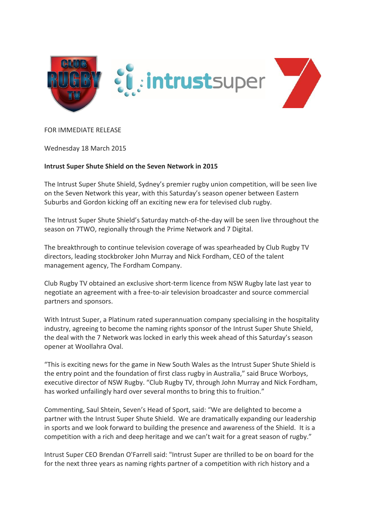

## FOR IMMEDIATE RELEASE

Wednesday 18 March 2015

## **Intrust Super Shute Shield on the Seven Network in 2015**

The Intrust Super Shute Shield, Sydney's premier rugby union competition, will be seen live on the Seven Network this year, with this Saturday's season opener between Eastern Suburbs and Gordon kicking off an exciting new era for televised club rugby.

The Intrust Super Shute Shield's Saturday match-of-the-day will be seen live throughout the season on 7TWO, regionally through the Prime Network and 7 Digital.

The breakthrough to continue television coverage of was spearheaded by Club Rugby TV directors, leading stockbroker John Murray and Nick Fordham, CEO of the talent management agency, The Fordham Company.

Club Rugby TV obtained an exclusive short-term licence from NSW Rugby late last year to negotiate an agreement with a free-to-air television broadcaster and source commercial partners and sponsors.

With Intrust Super, a Platinum rated superannuation company specialising in the hospitality industry, agreeing to become the naming rights sponsor of the Intrust Super Shute Shield, the deal with the 7 Network was locked in early this week ahead of this Saturday's season opener at Woollahra Oval.

"This is exciting news for the game in New South Wales as the Intrust Super Shute Shield is the entry point and the foundation of first class rugby in Australia," said Bruce Worboys, executive director of NSW Rugby. "Club Rugby TV, through John Murray and Nick Fordham, has worked unfailingly hard over several months to bring this to fruition."

Commenting, Saul Shtein, Seven's Head of Sport, said: "We are delighted to become a partner with the Intrust Super Shute Shield. We are dramatically expanding our leadership in sports and we look forward to building the presence and awareness of the Shield. It is a competition with a rich and deep heritage and we can't wait for a great season of rugby."

Intrust Super CEO Brendan O'Farrell said: "Intrust Super are thrilled to be on board for the for the next three years as naming rights partner of a competition with rich history and a